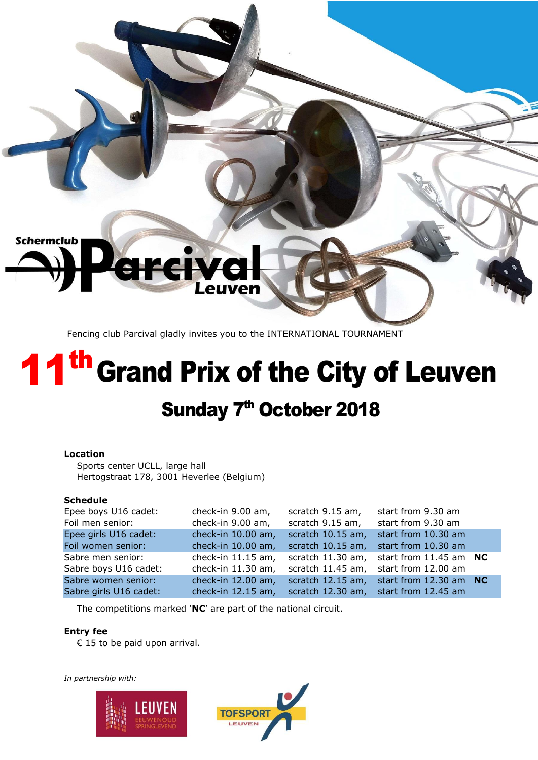

Fencing club Parcival gladly invites you to the INTERNATIONAL TOURNAMENT

# 11<sup>th</sup> Grand Prix of the City of Leuven Sunday 7<sup>th</sup> October 2018

## **Location**

Sports center UCLL, large hall Hertogstraat 178, 3001 Heverlee (Belgium)

### **Schedule**

| Epee boys U16 cadet:   | check-in 9.00 am,  | scratch 9.15 am,  | start from 9.30 am         |  |
|------------------------|--------------------|-------------------|----------------------------|--|
| Foil men senior:       | check-in 9.00 am,  | scratch 9.15 am,  | start from 9.30 am         |  |
| Epee girls U16 cadet:  | check-in 10.00 am, | scratch 10.15 am, | start from 10.30 am        |  |
| Foil women senior:     | check-in 10.00 am, | scratch 10.15 am, | start from 10.30 am        |  |
| Sabre men senior:      | check-in 11.15 am, | scratch 11.30 am, | start from $11.45$ am $NC$ |  |
| Sabre boys U16 cadet:  | check-in 11.30 am, | scratch 11.45 am, | start from 12.00 am        |  |
| Sabre women senior:    | check-in 12.00 am, | scratch 12.15 am, | start from $12.30$ am $NC$ |  |
| Sabre girls U16 cadet: | check-in 12.15 am, | scratch 12.30 am, | start from 12.45 am        |  |

The competitions marked '**NC**' are part of the national circuit.

### **Entry fee**

€ 15 to be paid upon arrival.



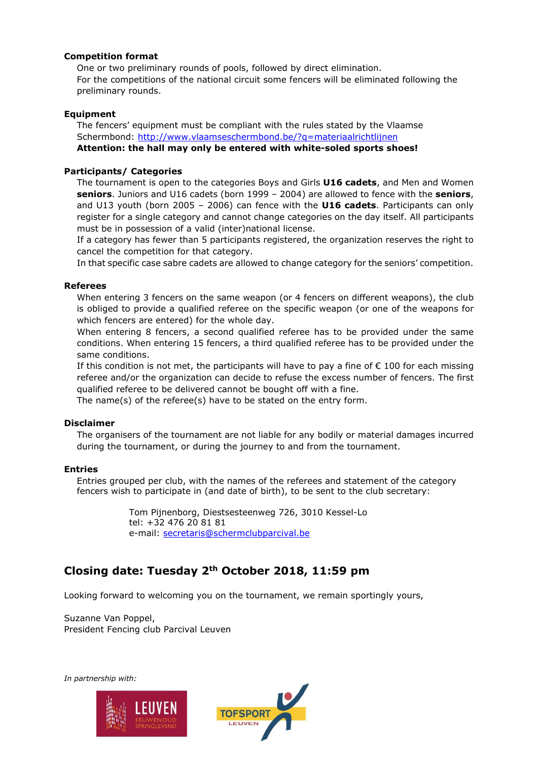### **Competition format**

One or two preliminary rounds of pools, followed by direct elimination. For the competitions of the national circuit some fencers will be eliminated following the preliminary rounds.

#### **Equipment**

The fencers' equipment must be compliant with the rules stated by the Vlaamse Schermbond:<http://www.vlaamseschermbond.be/?q=materiaalrichtlijnen> **Attention: the hall may only be entered with white-soled sports shoes!**

### **Participants/ Categories**

The tournament is open to the categories Boys and Girls **U16 cadets**, and Men and Women **seniors**. Juniors and U16 cadets (born 1999 – 2004) are allowed to fence with the **seniors**, and U13 youth (born 2005 – 2006) can fence with the **U16 cadets**. Participants can only register for a single category and cannot change categories on the day itself. All participants must be in possession of a valid (inter)national license.

If a category has fewer than 5 participants registered, the organization reserves the right to cancel the competition for that category.

In that specific case sabre cadets are allowed to change category for the seniors' competition.

#### **Referees**

When entering 3 fencers on the same weapon (or 4 fencers on different weapons), the club is obliged to provide a qualified referee on the specific weapon (or one of the weapons for which fencers are entered) for the whole day.

When entering 8 fencers, a second qualified referee has to be provided under the same conditions. When entering 15 fencers, a third qualified referee has to be provided under the same conditions.

If this condition is not met, the participants will have to pay a fine of  $\epsilon$  100 for each missing referee and/or the organization can decide to refuse the excess number of fencers. The first qualified referee to be delivered cannot be bought off with a fine.

The name(s) of the referee(s) have to be stated on the entry form.

#### **Disclaimer**

The organisers of the tournament are not liable for any bodily or material damages incurred during the tournament, or during the journey to and from the tournament.

### **Entries**

Entries grouped per club, with the names of the referees and statement of the category fencers wish to participate in (and date of birth), to be sent to the club secretary:

> Tom Pijnenborg, Diestsesteenweg 726, 3010 Kessel-Lo tel: +32 476 20 81 81 e-mail: [secretaris@schermclubparcival.be](mailto:secretaris@schermclubparcival.be)

# **Closing date: Tuesday 2th October 2018, 11:59 pm**

Looking forward to welcoming you on the tournament, we remain sportingly yours,

Suzanne Van Poppel, President Fencing club Parcival Leuven



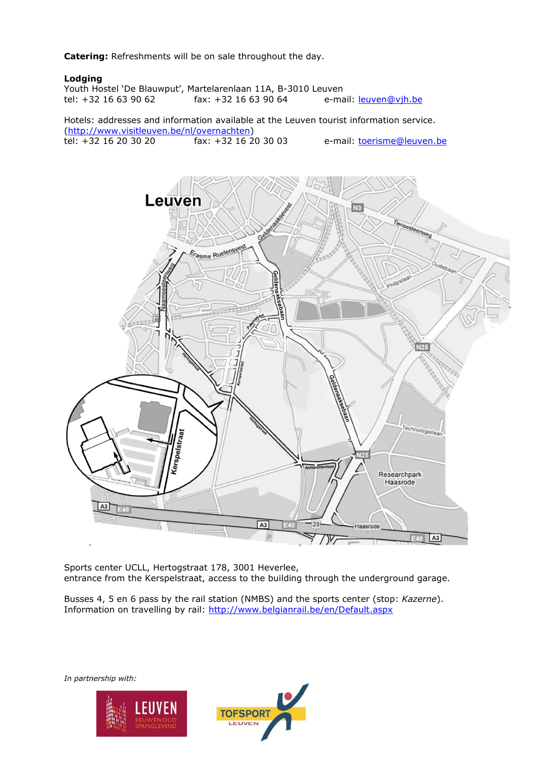**Catering:** Refreshments will be on sale throughout the day.

#### **Lodging**

Youth Hostel 'De Blauwput', Martelarenlaan 11A, B-3010 Leuven<br>tel: +32 16 63 90 62 fax: +32 16 63 90 64 e-ma e-mail: [leuven@vjh.be](mailto:leuven@vjh.be)

Hotels: addresses and information available at the Leuven tourist information service. [\(http://www.visitleuven.be/nl/overnachten\)](http://www.visitleuven.be/nl/overnachten)<br>tel: +32 16 20 30 20 fax: +32 16 20 30 03 e-mail: *toerisme@leuven.be* 



Sports center UCLL, Hertogstraat 178, 3001 Heverlee, entrance from the Kerspelstraat, access to the building through the underground garage.

Busses 4, 5 en 6 pass by the rail station (NMBS) and the sports center (stop: *Kazerne*). Information on travelling by rail:<http://www.belgianrail.be/en/Default.aspx>



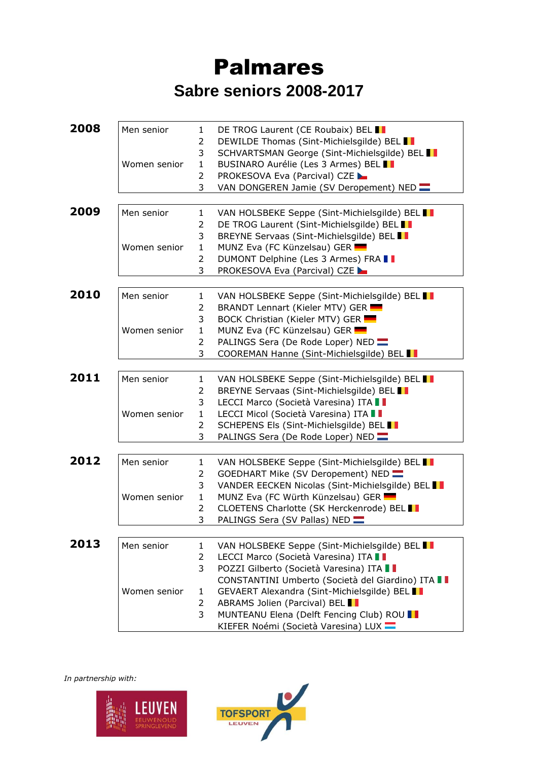# Palmares **Sabre seniors 2008-2017**

| 2008 | Men senior   | $\mathbf{1}$   | DE TROG Laurent (CE Roubaix) BEL II              |
|------|--------------|----------------|--------------------------------------------------|
|      |              | 2              | DEWILDE Thomas (Sint-Michielsgilde) BEL          |
|      |              | 3              | SCHVARTSMAN George (Sint-Michielsgilde) BEL      |
|      | Women senior | $\mathbf{1}$   | BUSINARO Aurélie (Les 3 Armes) BEL II            |
|      |              | 2              | <b>PROKESOVA Eva (Parcival) CZE</b>              |
|      |              | 3              | VAN DONGEREN Jamie (SV Deropement) NED           |
|      |              |                |                                                  |
| 2009 | Men senior   | $\mathbf{1}$   | VAN HOLSBEKE Seppe (Sint-Michielsgilde) BEL      |
|      |              | 2              | DE TROG Laurent (Sint-Michielsgilde) BEL II      |
|      |              | 3              | BREYNE Servaas (Sint-Michielsgilde) BEL I        |
|      | Women senior | $\mathbf{1}$   | MUNZ Eva (FC Künzelsau) GER                      |
|      |              | 2              | DUMONT Delphine (Les 3 Armes) FRA I              |
|      |              | 3              | <b>PROKESOVA Eva (Parcival) CZE</b>              |
|      |              |                |                                                  |
| 2010 | Men senior   | $\mathbf{1}$   | VAN HOLSBEKE Seppe (Sint-Michielsgilde) BEL      |
|      |              | 2              | BRANDT Lennart (Kieler MTV) GER                  |
|      |              | 3              | BOCK Christian (Kieler MTV) GER                  |
|      | Women senior | $\mathbf{1}$   | MUNZ Eva (FC Künzelsau) GER                      |
|      |              | 2              | PALINGS Sera (De Rode Loper) NED                 |
|      |              | 3              | COOREMAN Hanne (Sint-Michielsgilde) BEL I        |
|      |              |                |                                                  |
| 2011 | Men senior   | $\mathbf{1}$   | VAN HOLSBEKE Seppe (Sint-Michielsgilde) BEL I    |
|      |              | 2              | BREYNE Servaas (Sint-Michielsgilde) BEL          |
|      |              | 3              | LECCI Marco (Società Varesina) ITA I             |
|      | Women senior | $\mathbf{1}$   | LECCI Micol (Società Varesina) ITA II            |
|      |              | $\overline{2}$ | SCHEPENS Els (Sint-Michielsgilde) BEL I          |
|      |              | 3              | PALINGS Sera (De Rode Loper) NED                 |
| 2012 |              |                |                                                  |
|      | Men senior   | $\mathbf{1}$   | VAN HOLSBEKE Seppe (Sint-Michielsgilde) BEL I    |
|      |              | 2              | GOEDHART Mike (SV Deropement) NED                |
|      |              | 3              | VANDER EECKEN Nicolas (Sint-Michielsgilde) BEL   |
|      | Women senior | $\mathbf{1}$   | MUNZ Eva (FC Würth Künzelsau) GER                |
|      |              | $\overline{2}$ | CLOETENS Charlotte (SK Herckenrode) BEL          |
|      |              | 3              | PALINGS Sera (SV Pallas) NED                     |
| 2013 | Men senior   | $\mathbf{1}$   | VAN HOLSBEKE Seppe (Sint-Michielsgilde) BEL      |
|      |              | $\overline{2}$ | LECCI Marco (Società Varesina) ITA I             |
|      |              | 3              | POZZI Gilberto (Società Varesina) ITA I          |
|      |              |                | CONSTANTINI Umberto (Società del Giardino) ITA I |
|      | Women senior |                |                                                  |
|      |              | 1              | GEVAERT Alexandra (Sint-Michielsgilde) BEL I     |
|      |              | 2              | ABRAMS Jolien (Parcival) BEL I                   |
|      |              | 3              | MUNTEANU Elena (Delft Fencing Club) ROU I        |
|      |              |                | KIEFER Noémi (Società Varesina) LUX              |



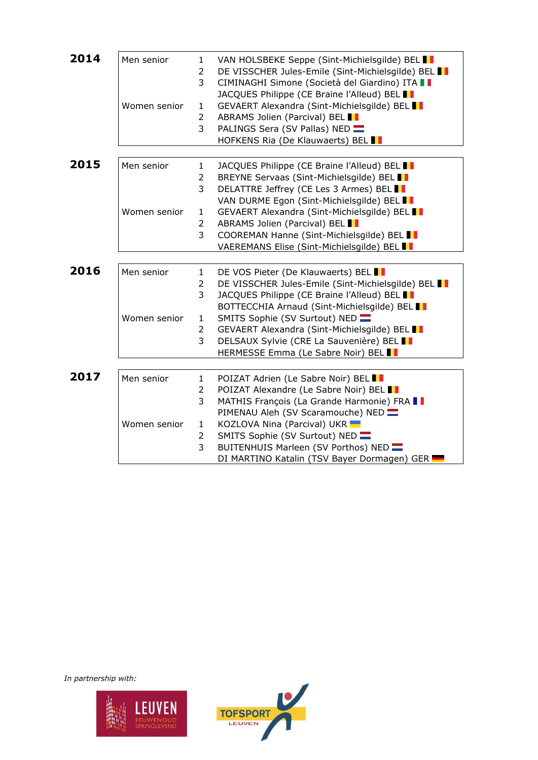| 2014 | Men senior<br>Women senior | 1<br>2<br>3<br>1<br>$\overline{2}$<br>$\overline{3}$                       | VAN HOLSBEKE Seppe (Sint-Michielsgilde) BEL<br>DE VISSCHER Jules-Emile (Sint-Michielsgilde) BEL<br>CIMINAGHI Simone (Società del Giardino) ITA I<br>JACQUES Philippe (CE Braine l'Alleud) BEL I<br>GEVAERT Alexandra (Sint-Michielsgilde) BEL<br>ABRAMS Jolien (Parcival) BEL<br>PALINGS Sera (SV Pallas) NED<br>HOFKENS Ria (De Klauwaerts) BEL I             |
|------|----------------------------|----------------------------------------------------------------------------|----------------------------------------------------------------------------------------------------------------------------------------------------------------------------------------------------------------------------------------------------------------------------------------------------------------------------------------------------------------|
| 2015 | Men senior<br>Women senior | $\mathbf{1}$<br>$\overline{2}$<br>3<br>1<br>$\overline{2}$<br>3            | JACQUES Philippe (CE Braine l'Alleud) BEL I<br>BREYNE Servaas (Sint-Michielsgilde) BEL II<br>DELATTRE Jeffrey (CE Les 3 Armes) BEL I<br>VAN DURME Egon (Sint-Michielsgilde) BEL I<br>GEVAERT Alexandra (Sint-Michielsgilde) BEL I<br>ABRAMS Jolien (Parcival) BEL I<br>COOREMAN Hanne (Sint-Michielsgilde) BEL<br>VAEREMANS Elise (Sint-Michielsgilde) BEL     |
| 2016 | Men senior<br>Women senior | $\mathbf{1}$<br>$\overline{2}$<br>3<br>$\mathbf{1}$<br>$\overline{2}$<br>3 | DE VOS Pieter (De Klauwaerts) BEL II<br>DE VISSCHER Jules-Emile (Sint-Michielsgilde) BEL I<br>JACQUES Philippe (CE Braine l'Alleud) BEL I<br>BOTTECCHIA Arnaud (Sint-Michielsgilde) BEL II<br>SMITS Sophie (SV Surtout) NED<br>GEVAERT Alexandra (Sint-Michielsgilde) BEL I<br>DELSAUX Sylvie (CRE La Sauvenière) BEL I<br>HERMESSE Emma (Le Sabre Noir) BEL I |
| 2017 | Men senior<br>Women senior | $\mathbf{1}$<br>2<br>3<br>$\mathbf{1}$<br>2<br>3                           | POIZAT Adrien (Le Sabre Noir) BEL I<br>POIZAT Alexandre (Le Sabre Noir) BEL I<br>MATHIS François (La Grande Harmonie) FRA I<br>PIMENAU Aleh (SV Scaramouche) NED<br>KOZLOVA Nina (Parcival) UKR<br>SMITS Sophie (SV Surtout) NED<br>BUITENHUIS Marleen (SV Porthos) NED<br>DI MARTINO Katalin (TSV Bayer Dormagen) GER                                         |